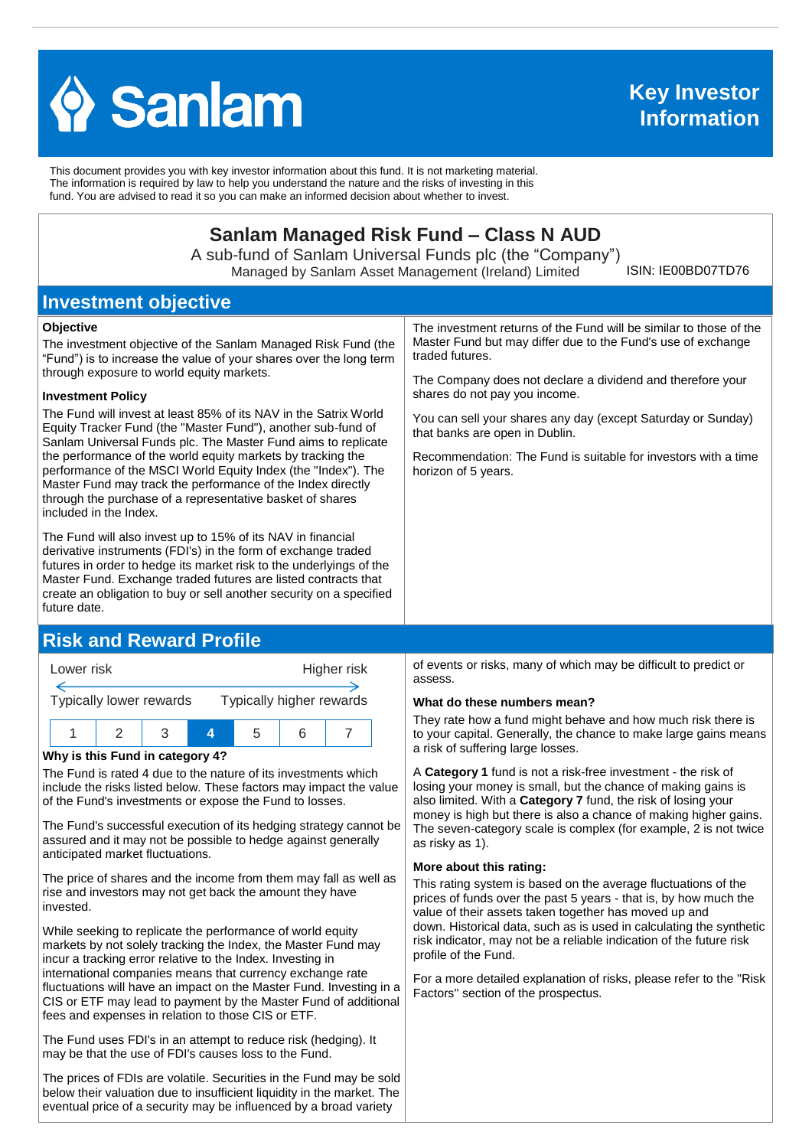

This document provides you with key investor information about this fund. It is not marketing material. The information is required by law to help you understand the nature and the risks of investing in this fund. You are advised to read it so you can make an informed decision about whether to invest.

# **Sanlam Managed Risk Fund – Class N AUD**

A sub-fund of Sanlam Universal Funds plc (the "Company") Managed by Sanlam Asset Management (Ireland) Limited

ISIN: IE00BD07TD76

## **Investment objective**

#### **Objective**

The investment objective of the Sanlam Managed Risk Fund (the "Fund") is to increase the value of your shares over the long term through exposure to world equity markets.

#### **Investment Policy**

The Fund will invest at least 85% of its NAV in the Satrix World Equity Tracker Fund (the "Master Fund"), another sub-fund of Sanlam Universal Funds plc. The Master Fund aims to replicate the performance of the world equity markets by tracking the performance of the MSCI World Equity Index (the "Index"). The Master Fund may track the performance of the Index directly through the purchase of a representative basket of shares included in the Index.

The Fund will also invest up to 15% of its NAV in financial derivative instruments (FDI's) in the form of exchange traded futures in order to hedge its market risk to the underlyings of the Master Fund. Exchange traded futures are listed contracts that create an obligation to buy or sell another security on a specified future date.

## **Risk and Reward Profile**



#### **Why is this Fund in category 4?**

The Fund is rated 4 due to the nature of its investments which include the risks listed below. These factors may impact the value of the Fund's investments or expose the Fund to losses.

The Fund's successful execution of its hedging strategy cannot be assured and it may not be possible to hedge against generally anticipated market fluctuations.

The price of shares and the income from them may fall as well as rise and investors may not get back the amount they have invested.

While seeking to replicate the performance of world equity markets by not solely tracking the Index, the Master Fund may incur a tracking error relative to the Index. Investing in international companies means that currency exchange rate fluctuations will have an impact on the Master Fund. Investing in a CIS or ETF may lead to payment by the Master Fund of additional fees and expenses in relation to those CIS or ETF.

The Fund uses FDI's in an attempt to reduce risk (hedging). It may be that the use of FDI's causes loss to the Fund.

The prices of FDIs are volatile. Securities in the Fund may be sold below their valuation due to insufficient liquidity in the market. The eventual price of a security may be influenced by a broad variety

The investment returns of the Fund will be similar to those of the Master Fund but may differ due to the Fund's use of exchange traded futures.

The Company does not declare a dividend and therefore your shares do not pay you income.

You can sell your shares any day (except Saturday or Sunday) that banks are open in Dublin.

Recommendation: The Fund is suitable for investors with a time horizon of 5 years.

of events or risks, many of which may be difficult to predict or assess.

#### **What do these numbers mean?**

They rate how a fund might behave and how much risk there is to your capital. Generally, the chance to make large gains means a risk of suffering large losses.

A **Category 1** fund is not a risk-free investment - the risk of losing your money is small, but the chance of making gains is also limited. With a **Category 7** fund, the risk of losing your money is high but there is also a chance of making higher gains. The seven-category scale is complex (for example, 2 is not twice as risky as 1).

#### **More about this rating:**

This rating system is based on the average fluctuations of the prices of funds over the past 5 years - that is, by how much the value of their assets taken together has moved up and down. Historical data, such as is used in calculating the synthetic risk indicator, may not be a reliable indication of the future risk profile of the Fund.

For a more detailed explanation of risks, please refer to the ''Risk Factors'' section of the prospectus.